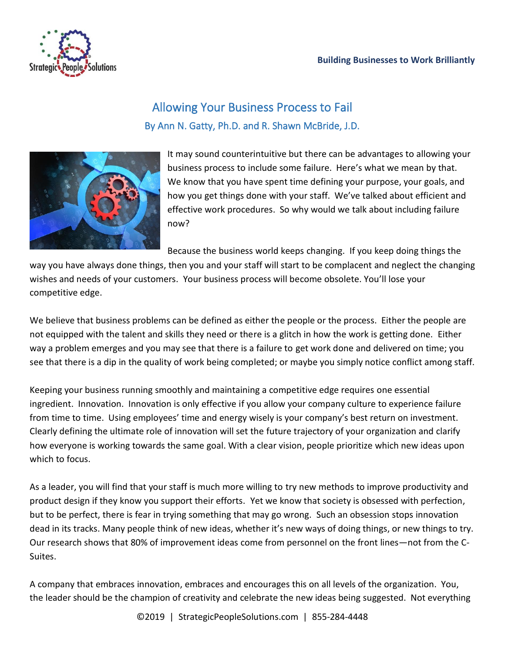

## Allowing Your Business Process to Fail By Ann N. Gatty, Ph.D. and R. Shawn McBride, J.D.



It may sound counterintuitive but there can be advantages to allowing your business process to include some failure. Here's what we mean by that. We know that you have spent time defining your purpose, your goals, and how you get things done with your staff. We've talked about efficient and effective work procedures. So why would we talk about including failure now?

Because the business world keeps changing. If you keep doing things the

way you have always done things, then you and your staff will start to be complacent and neglect the changing wishes and needs of your customers. Your business process will become obsolete. You'll lose your competitive edge.

We believe that business problems can be defined as either the people or the process. Either the people are not equipped with the talent and skills they need or there is a glitch in how the work is getting done. Either way a problem emerges and you may see that there is a failure to get work done and delivered on time; you see that there is a dip in the quality of work being completed; or maybe you simply notice conflict among staff.

Keeping your business running smoothly and maintaining a competitive edge requires one essential ingredient. Innovation. Innovation is only effective if you allow your company culture to experience failure from time to time. Using employees' time and energy wisely is your company's best return on investment. Clearly defining the ultimate role of innovation will set the future trajectory of your organization and clarify how everyone is working towards the same goal. With a clear vision, people prioritize which new ideas upon which to focus.

As a leader, you will find that your staff is much more willing to try new methods to improve productivity and product design if they know you support their efforts. Yet we know that society is obsessed with perfection, but to be perfect, there is fear in trying something that may go wrong. Such an obsession stops innovation dead in its tracks. Many people think of new ideas, whether it's new ways of doing things, or new things to try. Our research shows that 80% of improvement ideas come from personnel on the front lines—not from the C-Suites.

A company that embraces innovation, embraces and encourages this on all levels of the organization. You, the leader should be the champion of creativity and celebrate the new ideas being suggested. Not everything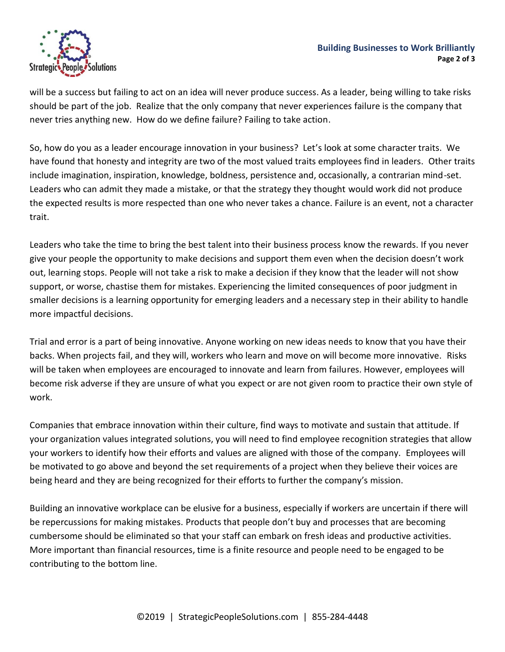

will be a success but failing to act on an idea will never produce success. As a leader, being willing to take risks should be part of the job. Realize that the only company that never experiences failure is the company that never tries anything new. How do we define failure? Failing to take action.

So, how do you as a leader encourage innovation in your business? Let's look at some character traits. We have found that honesty and integrity are two of the most valued traits employees find in leaders. Other traits include imagination, inspiration, knowledge, boldness, persistence and, occasionally, a contrarian mind-set. Leaders who can admit they made a mistake, or that the strategy they thought would work did not produce the expected results is more respected than one who never takes a chance. Failure is an event, not a character trait.

Leaders who take the time to bring the best talent into their business process know the rewards. If you never give your people the opportunity to make decisions and support them even when the decision doesn't work out, learning stops. People will not take a risk to make a decision if they know that the leader will not show support, or worse, chastise them for mistakes. Experiencing the limited consequences of poor judgment in smaller decisions is a learning opportunity for emerging leaders and a necessary step in their ability to handle more impactful decisions.

Trial and error is a part of being innovative. Anyone working on new ideas needs to know that you have their backs. When projects fail, and they will, workers who learn and move on will become more innovative. Risks will be taken when employees are encouraged to innovate and learn from failures. However, employees will become risk adverse if they are unsure of what you expect or are not given room to practice their own style of work.

Companies that embrace innovation within their culture, find ways to motivate and sustain that attitude. If your organization values integrated solutions, you will need to find employee recognition strategies that allow your workers to identify how their efforts and values are aligned with those of the company. Employees will be motivated to go above and beyond the set requirements of a project when they believe their voices are being heard and they are being recognized for their efforts to further the company's mission.

Building an innovative workplace can be elusive for a business, especially if workers are uncertain if there will be repercussions for making mistakes. Products that people don't buy and processes that are becoming cumbersome should be eliminated so that your staff can embark on fresh ideas and productive activities. More important than financial resources, time is a finite resource and people need to be engaged to be contributing to the bottom line.